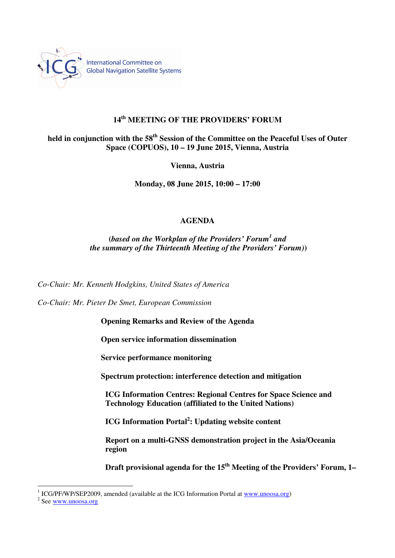

## **14th MEETING OF THE PROVIDERS' FORUM**

# **held in conjunction with the 58th Session of the Committee on the Peaceful Uses of Outer Space (COPUOS), 10 – 19 June 2015, Vienna, Austria**

**Vienna, Austria** 

**Monday, 08 June 2015, 10:00 – 17:00** 

#### **AGENDA**

**(***based on the Workplan of the Providers' Forum<sup>1</sup> and the summary of the Thirteenth Meeting of the Providers' Forum)***)** 

*Co-Chair: Mr. Kenneth Hodgkins, United States of America* 

*Co-Chair: Mr. Pieter De Smet, European Commission* 

**Opening Remarks and Review of the Agenda** 

**Open service information dissemination** 

**Service performance monitoring** 

**Spectrum protection: interference detection and mitigation** 

**ICG Information Centres: Regional Centres for Space Science and Technology Education (affiliated to the United Nations)** 

**ICG Information Portal<sup>2</sup> : Updating website content** 

**Report on a multi-GNSS demonstration project in the Asia/Oceania region** 

**Draft provisional agenda for the 15th Meeting of the Providers' Forum, 1–** 

<sup>&</sup>lt;sup>1</sup> ICG/PF/WP/SEP2009, amended (available at the ICG Information Portal at www.unoosa.org)

<sup>&</sup>lt;sup>2</sup> See <u>www.unoosa.org</u>